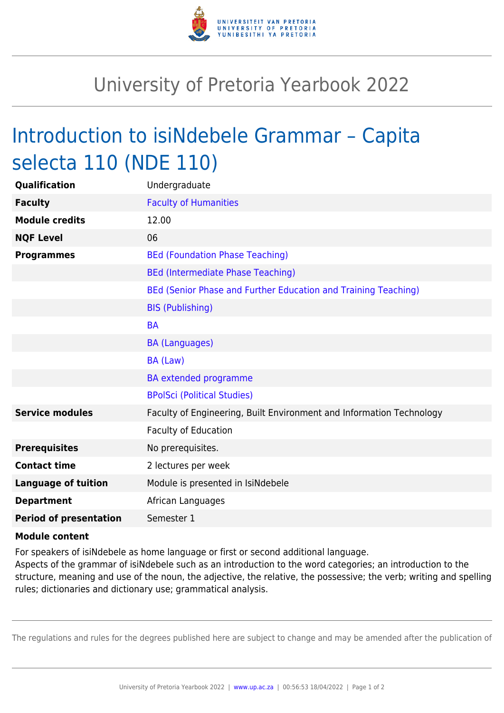

## University of Pretoria Yearbook 2022

## Introduction to isiNdebele Grammar – Capita selecta 110 (NDE 110)

| Qualification                 | Undergraduate                                                        |
|-------------------------------|----------------------------------------------------------------------|
| <b>Faculty</b>                | <b>Faculty of Humanities</b>                                         |
| <b>Module credits</b>         | 12.00                                                                |
| <b>NQF Level</b>              | 06                                                                   |
| <b>Programmes</b>             | <b>BEd (Foundation Phase Teaching)</b>                               |
|                               | <b>BEd (Intermediate Phase Teaching)</b>                             |
|                               | BEd (Senior Phase and Further Education and Training Teaching)       |
|                               | <b>BIS (Publishing)</b>                                              |
|                               | <b>BA</b>                                                            |
|                               | <b>BA (Languages)</b>                                                |
|                               | BA (Law)                                                             |
|                               | <b>BA</b> extended programme                                         |
|                               | <b>BPolSci (Political Studies)</b>                                   |
| <b>Service modules</b>        | Faculty of Engineering, Built Environment and Information Technology |
|                               | <b>Faculty of Education</b>                                          |
| <b>Prerequisites</b>          | No prerequisites.                                                    |
| <b>Contact time</b>           | 2 lectures per week                                                  |
| <b>Language of tuition</b>    | Module is presented in IsiNdebele                                    |
| <b>Department</b>             | African Languages                                                    |
| <b>Period of presentation</b> | Semester 1                                                           |

## **Module content**

For speakers of isiNdebele as home language or first or second additional language.

Aspects of the grammar of isiNdebele such as an introduction to the word categories; an introduction to the structure, meaning and use of the noun, the adjective, the relative, the possessive; the verb; writing and spelling rules; dictionaries and dictionary use; grammatical analysis.

The regulations and rules for the degrees published here are subject to change and may be amended after the publication of